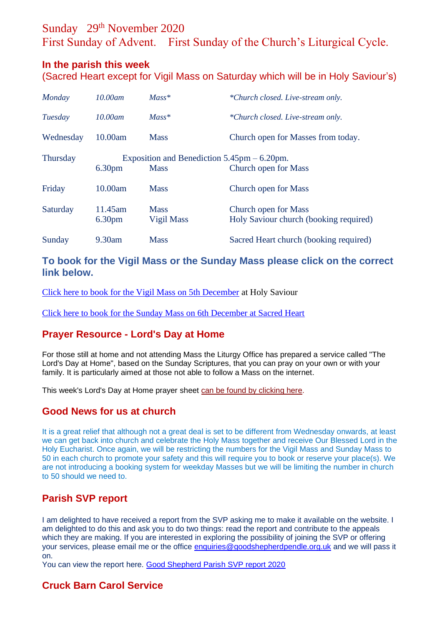# Sunday 29<sup>th</sup> November 2020 First Sunday of Advent. First Sunday of the Church's Liturgical Cycle.

#### **In the parish this week**

(Sacred Heart except for Vigil Mass on Saturday which will be in Holy Saviour's)

| Monday          | 10.00am                        | $Mass*$                                                         | *Church closed. Live-stream only.                              |
|-----------------|--------------------------------|-----------------------------------------------------------------|----------------------------------------------------------------|
| Tuesday         | $10.00$ am                     | $Mass*$                                                         | *Church closed. Live-stream only.                              |
| Wednesday       | 10.00am                        | <b>Mass</b>                                                     | Church open for Masses from today.                             |
| <b>Thursday</b> | 6.30 <sub>pm</sub>             | Exposition and Benediction $5.45$ pm $-6.20$ pm.<br><b>Mass</b> | Church open for Mass                                           |
| Friday          | 10.00am                        | <b>Mass</b>                                                     | Church open for Mass                                           |
| Saturday        | 11.45 am<br>6.30 <sub>pm</sub> | <b>Mass</b><br>Vigil Mass                                       | Church open for Mass<br>Holy Saviour church (booking required) |
| Sunday          | 9.30am                         | <b>Mass</b>                                                     | Sacred Heart church (booking required)                         |

#### **To book for the Vigil Mass or the Sunday Mass please click on the correct link below.**

[Click here to book for the Vigil Mass on 5th December](https://www.eventbrite.co.uk/e/vigil-mass-at-holy-saviours-nelson-on-saturday-5th-december-2020-tickets-130694790637) at Holy Saviour

[Click here to book for the Sunday Mass on 6th December at Sacred Heart](https://www.eventbrite.co.uk/e/sunday-mass-930am-sacred-heart-colne-6th-december-2020-tickets-130693346317)

## **Prayer Resource - Lord's Day at Home**

For those still at home and not attending Mass the Liturgy Office has prepared a service called "The Lord's Day at Home", based on the Sunday Scriptures, that you can pray on your own or with your family. It is particularly aimed at those not able to follow a Mass on the internet.

This week's Lord's Day at Home prayer sheet [can be found by clicking here.](https://dioceseofsalford.us6.list-manage.com/track/click?u=76e219dab8653b775ba8aac4c&id=d06e75dd17&e=5ce69633f0)

### **Good News for us at church**

It is a great relief that although not a great deal is set to be different from Wednesday onwards, at least we can get back into church and celebrate the Holy Mass together and receive Our Blessed Lord in the Holy Eucharist. Once again, we will be restricting the numbers for the Vigil Mass and Sunday Mass to 50 in each church to promote your safety and this will require you to book or reserve your place(s). We are not introducing a booking system for weekday Masses but we will be limiting the number in church to 50 should we need to.

## **Parish SVP report**

I am delighted to have received a report from the SVP asking me to make it available on the website. I am delighted to do this and ask you to do two things: read the report and contribute to the appeals which they are making. If you are interested in exploring the possibility of joining the SVP or offering your services, please email me or the office [enquiries@goodshepherdpendle.org.uk](mailto:enquiries@goodshepherdpendle.org.uk) and we will pass it on.

You can view the report here. [Good Shepherd Parish SVP report 2020](https://goodshepherdpendle.org.uk/wp-content/uploads/2020/11/svp-report-for-parish.pdf)

## **Cruck Barn Carol Service**